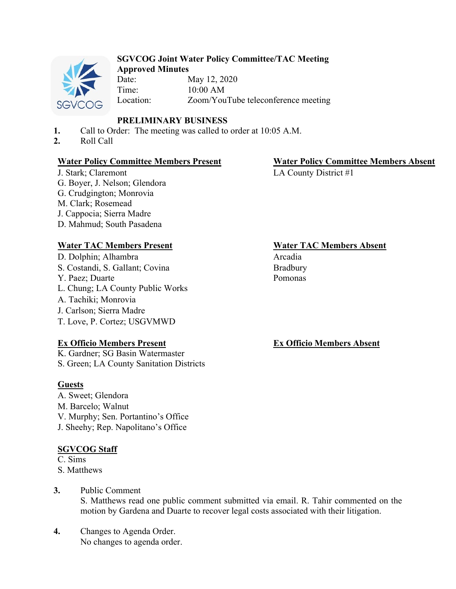

#### **SGVCOG Joint Water Policy Committee/TAC Meeting Approved Minutes**

Date: May 12, 2020 Time: 10:00 AM Location: Zoom/YouTube teleconference meeting

# **PRELIMINARY BUSINESS**

- **1.** Call to Order: The meeting was called to order at 10:05 A.M.
- **2.** Roll Call

## **Water Policy Committee Members Present Water Policy Committee Members Absent**

J. Stark; Claremont G. Boyer, J. Nelson; Glendora G. Crudgington; Monrovia M. Clark; Rosemead J. Cappocia; Sierra Madre D. Mahmud; South Pasadena

D. Dolphin; Alhambra Arcadia S. Costandi, S. Gallant; Covina Y. Paez; Duarte L. Chung; LA County Public Works A. Tachiki; Monrovia J. Carlson; Sierra Madre T. Love, P. Cortez; USGVMWD

#### **Ex Officio Members Present**

K. Gardner; SG Basin Watermaster S. Green; LA County Sanitation Districts

#### **Guests**

A. Sweet; Glendora M. Barcelo; Walnut V. Murphy; Sen. Portantino's Office J. Sheehy; Rep. Napolitano's Office

# **SGVCOG Staff**

C. Sims S. Matthews

# **3.** Public Comment S. Matthews read one public comment submitted via email. R. Tahir commented on the motion by Gardena and Duarte to recover legal costs associated with their litigation.

**4.** Changes to Agenda Order. No changes to agenda order.

LA County District #1

# **Water TAC Members Present Water TAC Members Absent**

Bradbury Pomonas

# **Ex Officio Members Absent**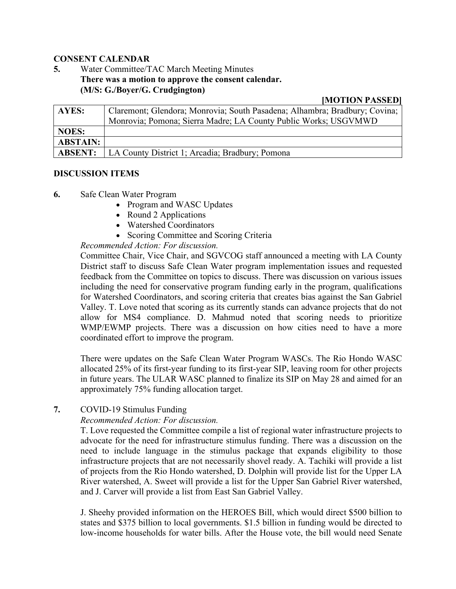#### **CONSENT CALENDAR**

# **5.** Water Committee/TAC March Meeting Minutes **There was a motion to approve the consent calendar. (M/S: G./Boyer/G. Crudgington)**

#### **[MOTION PASSED]**

| AYES:           | Claremont; Glendora; Monrovia; South Pasadena; Alhambra; Bradbury; Covina; |
|-----------------|----------------------------------------------------------------------------|
|                 | Monrovia; Pomona; Sierra Madre; LA County Public Works; USGVMWD            |
| <b>NOES:</b>    |                                                                            |
| <b>ABSTAIN:</b> |                                                                            |
| <b>ABSENT:</b>  | LA County District 1; Arcadia; Bradbury; Pomona                            |

#### **DISCUSSION ITEMS**

- **6.** Safe Clean Water Program
	- Program and WASC Updates
	- Round 2 Applications
	- Watershed Coordinators
	- Scoring Committee and Scoring Criteria

## *Recommended Action: For discussion.*

Committee Chair, Vice Chair, and SGVCOG staff announced a meeting with LA County District staff to discuss Safe Clean Water program implementation issues and requested feedback from the Committee on topics to discuss. There was discussion on various issues including the need for conservative program funding early in the program, qualifications for Watershed Coordinators, and scoring criteria that creates bias against the San Gabriel Valley. T. Love noted that scoring as its currently stands can advance projects that do not allow for MS4 compliance. D. Mahmud noted that scoring needs to prioritize WMP/EWMP projects. There was a discussion on how cities need to have a more coordinated effort to improve the program.

There were updates on the Safe Clean Water Program WASCs. The Rio Hondo WASC allocated 25% of its first-year funding to its first-year SIP, leaving room for other projects in future years. The ULAR WASC planned to finalize its SIP on May 28 and aimed for an approximately 75% funding allocation target.

# **7.** COVID-19 Stimulus Funding

#### *Recommended Action: For discussion.*

T. Love requested the Committee compile a list of regional water infrastructure projects to advocate for the need for infrastructure stimulus funding. There was a discussion on the need to include language in the stimulus package that expands eligibility to those infrastructure projects that are not necessarily shovel ready. A. Tachiki will provide a list of projects from the Rio Hondo watershed, D. Dolphin will provide list for the Upper LA River watershed, A. Sweet will provide a list for the Upper San Gabriel River watershed, and J. Carver will provide a list from East San Gabriel Valley.

J. Sheehy provided information on the HEROES Bill, which would direct \$500 billion to states and \$375 billion to local governments. \$1.5 billion in funding would be directed to low-income households for water bills. After the House vote, the bill would need Senate